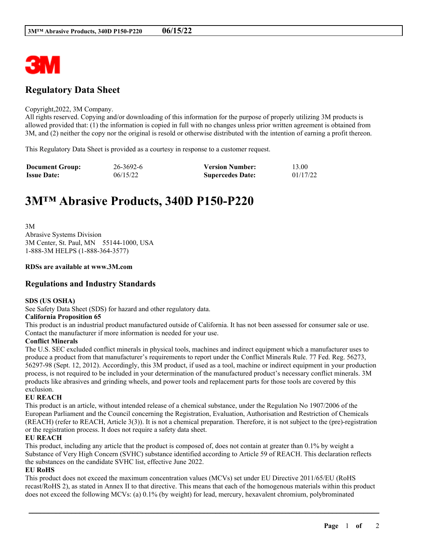

# **Regulatory Data Sheet**

#### Copyright,2022, 3M Company.

All rights reserved. Copying and/or downloading of this information for the purpose of properly utilizing 3M products is allowed provided that: (1) the information is copied in full with no changes unless prior written agreement is obtained from 3M, and (2) neither the copy nor the original is resold or otherwise distributed with the intention of earning a profit thereon.

This Regulatory Data Sheet is provided as a courtesy in response to a customer request.

| <b>Document Group:</b> | 26-3692-6 | <b>Version Number:</b>  | 13.00    |
|------------------------|-----------|-------------------------|----------|
| <b>Issue Date:</b>     | 06/15/22  | <b>Supercedes Date:</b> | 01/17/22 |

# **3M™ Abrasive Products, 340D P150-P220**

3M Abrasive Systems Division 3M Center, St. Paul, MN 55144-1000, USA 1-888-3M HELPS (1-888-364-3577)

#### **RDSs are available at www.3M.com**

### **Regulations and Industry Standards**

#### **SDS (US OSHA)**

See Safety Data Sheet (SDS) for hazard and other regulatory data.

#### **California Proposition 65**

This product is an industrial product manufactured outside of California. It has not been assessed for consumer sale or use. Contact the manufacturer if more information is needed for your use.

#### **Conflict Minerals**

The U.S. SEC excluded conflict minerals in physical tools, machines and indirect equipment which a manufacturer uses to produce a product from that manufacturer's requirements to report under the Conflict Minerals Rule. 77 Fed. Reg. 56273, 56297-98 (Sept. 12, 2012). Accordingly, this 3M product, if used as a tool, machine or indirect equipment in your production process, is not required to be included in your determination of the manufactured product's necessary conflict minerals. 3M products like abrasives and grinding wheels, and power tools and replacement parts for those tools are covered by this exclusion.

#### **EU REACH**

This product is an article, without intended release of a chemical substance, under the Regulation No 1907/2006 of the European Parliament and the Council concerning the Registration, Evaluation, Authorisation and Restriction of Chemicals (REACH) (refer to REACH, Article 3(3)). It is not a chemical preparation. Therefore, it is not subject to the (pre)-registration or the registration process. It does not require a safety data sheet.

#### **EU REACH**

This product, including any article that the product is composed of, does not contain at greater than 0.1% by weight a Substance of Very High Concern (SVHC) substance identified according to Article 59 of REACH. This declaration reflects the substances on the candidate SVHC list, effective June 2022.

#### **EU RoHS**

This product does not exceed the maximum concentration values (MCVs) set under EU Directive 2011/65/EU (RoHS recast/RoHS 2), as stated in Annex II to that directive. This means that each of the homogenous materials within this product does not exceed the following MCVs: (a) 0.1% (by weight) for lead, mercury, hexavalent chromium, polybrominated

\_\_\_\_\_\_\_\_\_\_\_\_\_\_\_\_\_\_\_\_\_\_\_\_\_\_\_\_\_\_\_\_\_\_\_\_\_\_\_\_\_\_\_\_\_\_\_\_\_\_\_\_\_\_\_\_\_\_\_\_\_\_\_\_\_\_\_\_\_\_\_\_\_\_\_\_\_\_\_\_\_\_\_\_\_\_\_\_\_\_